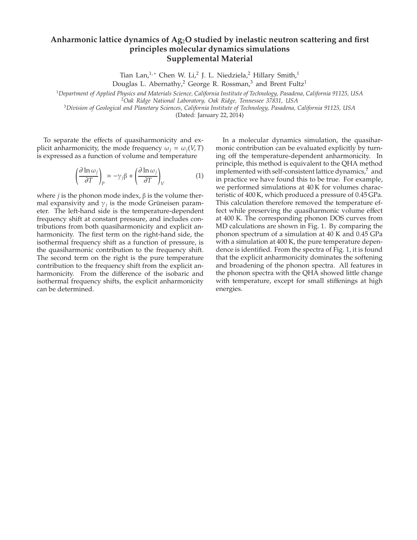## **Anharmonic lattice dynamics of Ag**2**O studied by inelastic neutron scattering and first principles molecular dynamics simulations Supplemental Material**

Tian Lan,<sup>1,</sup>\* Chen W. Li,<sup>2</sup> J. L. Niedziela,<sup>2</sup> Hillary Smith,<sup>1</sup>

Douglas L. Abernathy,<sup>2</sup> George R. Rossman,<sup>3</sup> and Brent Fultz<sup>1</sup>

<sup>1</sup>*Department of Applied Physics and Materials Science, California Institute of Technology, Pasadena, California 91125, USA*

<sup>2</sup>*Oak Ridge National Laboratory, Oak Ridge, Tennessee 37831, USA*

<sup>3</sup>*Division of Geological and Planetary Sciences, California Institute of Technology, Pasadena, California 91125, USA*

(Dated: January 22, 2014)

To separate the effects of quasiharmonicity and explicit anharmonicity, the mode frequency  $\omega_i = \omega_i(V, T)$ is expressed as a function of volume and temperature

$$
\left(\frac{\partial \ln \omega_j}{\partial T}\right)_P = -\gamma_j \beta + \left(\frac{\partial \ln \omega_j}{\partial T}\right)_V \tag{1}
$$

where *j* is the phonon mode index,  $\beta$  is the volume thermal expansivity and  $\gamma_i$  is the mode Grüneisen parameter. The left-hand side is the temperature-dependent frequency shift at constant pressure, and includes contributions from both quasiharmonicity and explicit anharmonicity. The first term on the right-hand side, the isothermal frequency shift as a function of pressure, is the quasiharmonic contribution to the frequency shift. The second term on the right is the pure temperature contribution to the frequency shift from the explicit anharmonicity. From the difference of the isobaric and isothermal frequency shifts, the explicit anharmonicity can be determined.

In a molecular dynamics simulation, the quasiharmonic contribution can be evaluated explicitly by turning off the temperature-dependent anharmonicity. In principle, this method is equivalent to the QHA method implemented with self-consistent lattice dynamics,**?** and in practice we have found this to be true. For example, we performed simulations at 40 K for volumes characteristic of 400 K, which produced a pressure of 0.45 GPa. This calculation therefore removed the temperature effect while preserving the quasiharmonic volume effect at 400 K. The corresponding phonon DOS curves from MD calculations are shown in Fig. 1. By comparing the phonon spectrum of a simulation at 40 K and 0.45 GPa with a simulation at 400 K, the pure temperature dependence is identified. From the spectra of Fig. 1, it is found that the explicit anharmonicity dominates the softening and broadening of the phonon spectra. All features in the phonon spectra with the QHA showed little change with temperature, except for small stiffenings at high energies.